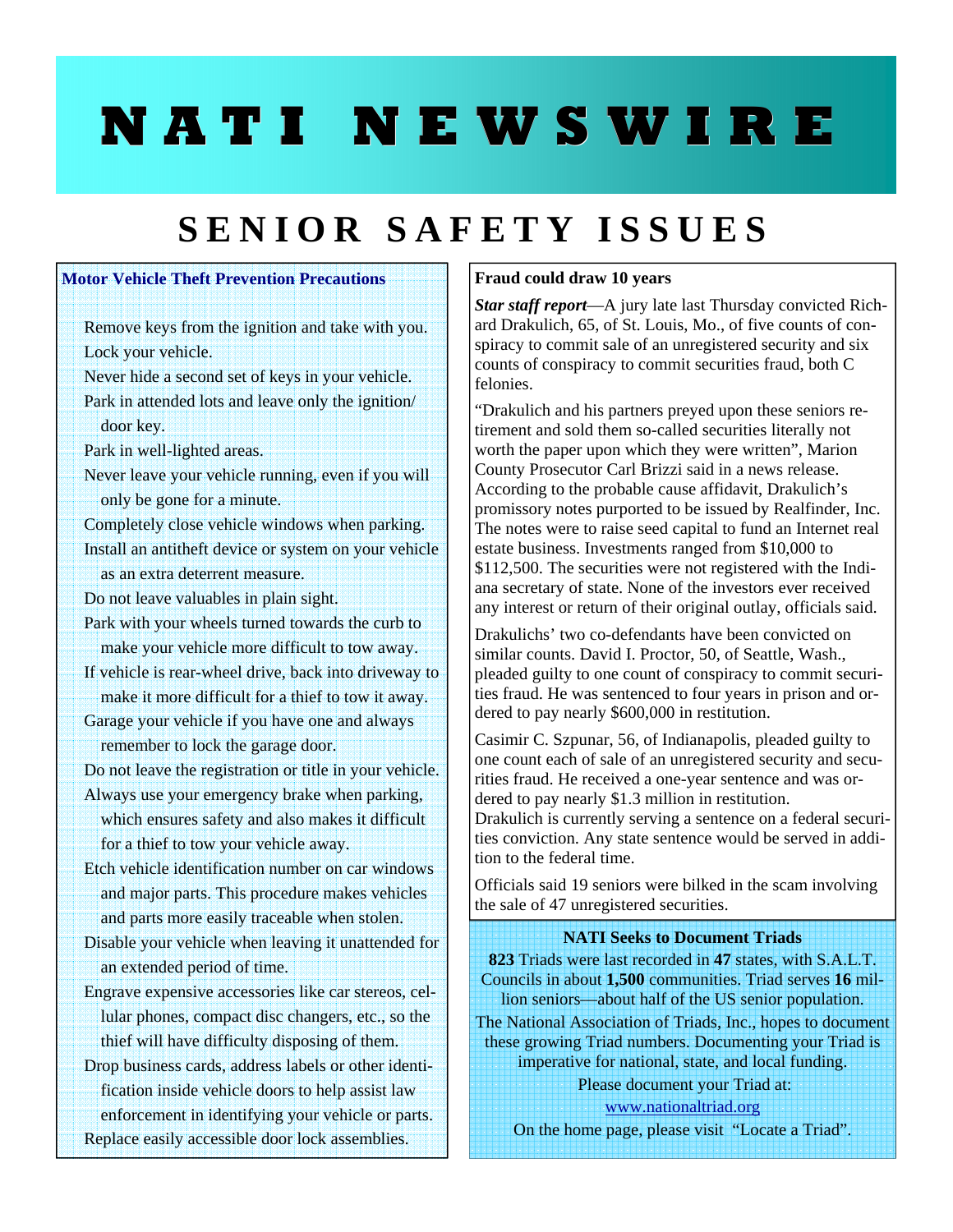# **NATI NEWSWIRE**

## **SENIOR SAFETY ISSUES**

### **Motor Vehicle Theft Prevention Precautions**

- Remove keys from the ignition and take with you. Lock your vehicle.
- Never hide a second set of keys in your vehicle. Park in attended lots and leave only the ignition/ door key.
- Park in well-lighted areas.
- Never leave your vehicle running, even if you will only be gone for a minute.
- Completely close vehicle windows when parking.
- Install an antitheft device or system on your vehicle as an extra deterrent measure.
- Do not leave valuables in plain sight.
- Park with your wheels turned towards the curb to make your vehicle more difficult to tow away.
- If vehicle is rear-wheel drive, back into driveway to make it more difficult for a thief to tow it away.
- Garage your vehicle if you have one and always remember to lock the garage door.
- Do not leave the registration or title in your vehicle.
- Always use your emergency brake when parking, which ensures safety and also makes it difficult for a thief to tow your vehicle away.
- Etch vehicle identification number on car windows and major parts. This procedure makes vehicles and parts more easily traceable when stolen.
- Disable your vehicle when leaving it unattended for an extended period of time.
- Engrave expensive accessories like car stereos, cellular phones, compact disc changers, etc., so the thief will have difficulty disposing of them.
- Drop business cards, address labels or other identification inside vehicle doors to help assist law enforcement in identifying your vehicle or parts. Replace easily accessible door lock assemblies.

#### **Fraud could draw 10 years**

*Star staff report*—A jury late last Thursday convicted Richard Drakulich, 65, of St. Louis, Mo., of five counts of conspiracy to commit sale of an unregistered security and six counts of conspiracy to commit securities fraud, both C felonies.

"Drakulich and his partners preyed upon these seniors retirement and sold them so-called securities literally not worth the paper upon which they were written", Marion County Prosecutor Carl Brizzi said in a news release. According to the probable cause affidavit, Drakulich's promissory notes purported to be issued by Realfinder, Inc. The notes were to raise seed capital to fund an Internet real estate business. Investments ranged from \$10,000 to \$112,500. The securities were not registered with the Indiana secretary of state. None of the investors ever received any interest or return of their original outlay, officials said.

Drakulichs' two co-defendants have been convicted on similar counts. David I. Proctor, 50, of Seattle, Wash., pleaded guilty to one count of conspiracy to commit securities fraud. He was sentenced to four years in prison and ordered to pay nearly \$600,000 in restitution.

Casimir C. Szpunar, 56, of Indianapolis, pleaded guilty to one count each of sale of an unregistered security and securities fraud. He received a one-year sentence and was ordered to pay nearly \$1.3 million in restitution. Drakulich is currently serving a sentence on a federal securities conviction. Any state sentence would be served in addition to the federal time.

Officials said 19 seniors were bilked in the scam involving the sale of 47 unregistered securities.

#### **NATI Seeks to Document Triads**

**823** Triads were last recorded in **47** states, with S.A.L.T. Councils in about **1,500** communities. Triad serves **16** million seniors—about half of the US senior population. The National Association of Triads, Inc., hopes to document these growing Triad numbers. Documenting your Triad is imperative for national, state, and local funding. Please document your Triad at:

www.nationaltriad.org On the home page, please visit "Locate a Triad".